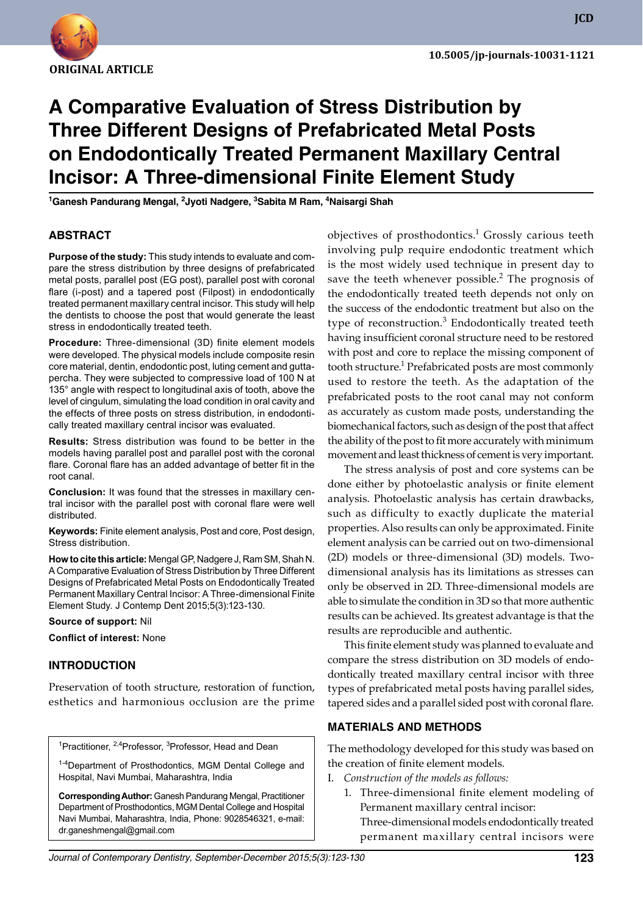

**JCD**

# **A Comparative Evaluation of Stress Distribution by Three Different Designs of Prefabricated Metal Posts on Endodontically Treated Permanent Maxillary Central Incisor: A Three-dimensional Finite Element Study**

<sup>1</sup>Ganesh Pandurang Mengal, <sup>2</sup>Jyoti Nadgere, <sup>3</sup>Sabita M Ram, <sup>4</sup>Naisargi Shah

## **ABSTRACT**

**Purpose of the study:** This study intends to evaluate and compare the stress distribution by three designs of prefabricated metal posts, parallel post (EG post), parallel post with coronal flare (i-post) and a tapered post (Filpost) in endodontically treated permanent maxillary central incisor. This study will help the dentists to choose the post that would generate the least stress in endodontically treated teeth.

**Procedure:** Three-dimensional (3D) finite element models were developed. The physical models include composite resin core material, dentin, endodontic post, luting cement and guttapercha. They were subjected to compressive load of 100 N at 135° angle with respect to longitudinal axis of tooth, above the level of cingulum, simulating the load condition in oral cavity and the effects of three posts on stress distribution, in endodontically treated maxillary central incisor was evaluated.

**Results:** Stress distribution was found to be better in the models having parallel post and parallel post with the coronal flare. Coronal flare has an added advantage of better fit in the root canal.

**Conclusion:** It was found that the stresses in maxillary central incisor with the parallel post with coronal flare were well distributed.

**Keywords:** Finite element analysis, Post and core, Post design, Stress distribution.

**How to cite this article:** Mengal GP, Nadgere J, Ram SM, Shah N. A Comparative Evaluation of Stress Distribution by Three Different Designs of Prefabricated Metal Posts on Endodontically Treated Permanent Maxillary Central Incisor: A Three-dimensional Finite Element Study. J Contemp Dent 2015;5(3):123-130.

**Source of support:** Nil

**Conflict of interest:** None

### **Introduction**

Preservation of tooth structure, restoration of function, esthetics and harmonious occlusion are the prime

<sup>1</sup>Practitioner, <sup>2,4</sup>Professor, <sup>3</sup>Professor, Head and Dean

<sup>1-4</sup>Department of Prosthodontics, MGM Dental College and Hospital, Navi Mumbai, Maharashtra, India

**Corresponding Author:** Ganesh Pandurang Mengal, Practitioner Department of Prosthodontics, MGM Dental College and Hospital Navi Mumbai, Maharashtra, India, Phone: 9028546321, e-mail: dr.ganeshmengal@gmail.com

objectives of prosthodontics.<sup>1</sup> Grossly carious teeth involving pulp require endodontic treatment which is the most widely used technique in present day to save the teeth whenever possible. $<sup>2</sup>$  The prognosis of</sup> the endodontically treated teeth depends not only on the success of the endodontic treatment but also on the type of reconstruction.<sup>3</sup> Endodontically treated teeth having insufficient coronal structure need to be restored with post and core to replace the missing component of tooth structure.<sup>1</sup> Prefabricated posts are most commonly used to restore the teeth. As the adaptation of the prefabricated posts to the root canal may not conform as accurately as custom made posts, understanding the biomechanical factors, such as design of the post that affect the ability of the post to fit more accurately with minimum movement and least thickness of cement is very important.

The stress analysis of post and core systems can be done either by photoelastic analysis or finite element analysis. Photoelastic analysis has certain drawbacks, such as difficulty to exactly duplicate the material properties. Also results can only be approximated. Finite element analysis can be carried out on two-dimensional (2D) models or three-dimensional (3D) models. Twodimensional analysis has its limitations as stresses can only be observed in 2D. Three-dimensional models are able to simulate the condition in 3D so that more authentic results can be achieved. Its greatest advantage is that the results are reproducible and authentic.

This finite element study was planned to evaluate and compare the stress distribution on 3D models of endodontically treated maxillary central incisor with three types of prefabricated metal posts having parallel sides, tapered sides and a parallel sided post with coronal flare.

### **Materials and Methods**

The methodology developed for this study was based on the creation of finite element models.

- Construction of the models as follows:
	- 1. Three-dimensional finite element modeling of Permanent maxillary central incisor: Three-dimensional models endodontically treated permanent maxillary central incisors were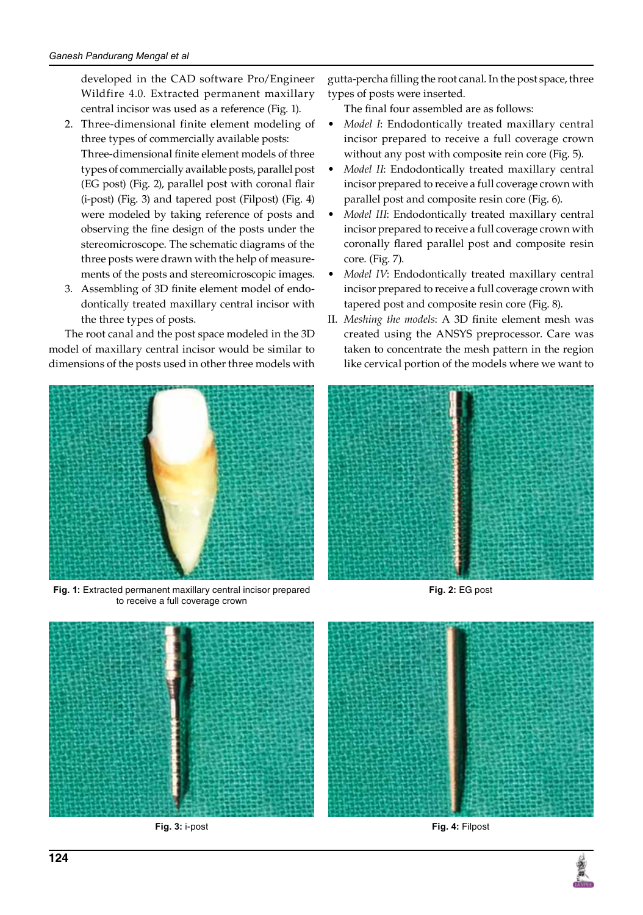developed in the CAD software Pro/Engineer Wildfire 4.0. Extracted permanent maxillary central incisor was used as a reference (Fig. 1).

- 2. Three-dimensional finite element modeling of three types of commercially available posts: Three-dimensional finite element models of three types of commercially available posts, parallel post (EG post) (Fig. 2), parallel post with coronal flair (i-post) (Fig. 3) and tapered post (Filpost) (Fig. 4) were modeled by taking reference of posts and observing the fine design of the posts under the stereomicroscope. The schematic diagrams of the three posts were drawn with the help of measurements of the posts and stereomicroscopic images.
- 3. Assembling of 3D finite element model of endodontically treated maxillary central incisor with the three types of posts.

The root canal and the post space modeled in the 3D model of maxillary central incisor would be similar to dimensions of the posts used in other three models with



**Fig. 1:** Extracted permanent maxillary central incisor prepared to receive a full coverage crown

gutta-percha filling the root canal. In the post space, three types of posts were inserted.

The final four assembled are as follows:

- *Model I*: Endodontically treated maxillary central incisor prepared to receive a full coverage crown without any post with composite rein core (Fig. 5).
- *Model II*: Endodontically treated maxillary central incisor prepared to receive a full coverage crown with parallel post and composite resin core (Fig. 6).
- *Model III*: Endodontically treated maxillary central incisor prepared to receive a full coverage crown with coronally flared parallel post and composite resin core. (Fig. 7).
- *Model IV*: Endodontically treated maxillary central incisor prepared to receive a full coverage crown with tapered post and composite resin core (Fig. 8).
- II. *Meshing the models*: A 3D finite element mesh was created using the ANSYS preprocessor. Care was taken to concentrate the mesh pattern in the region like cervical portion of the models where we want to



**Fig. 2:** EG post



**Fig. 3:** i-post **Fig. 4:** Filpost

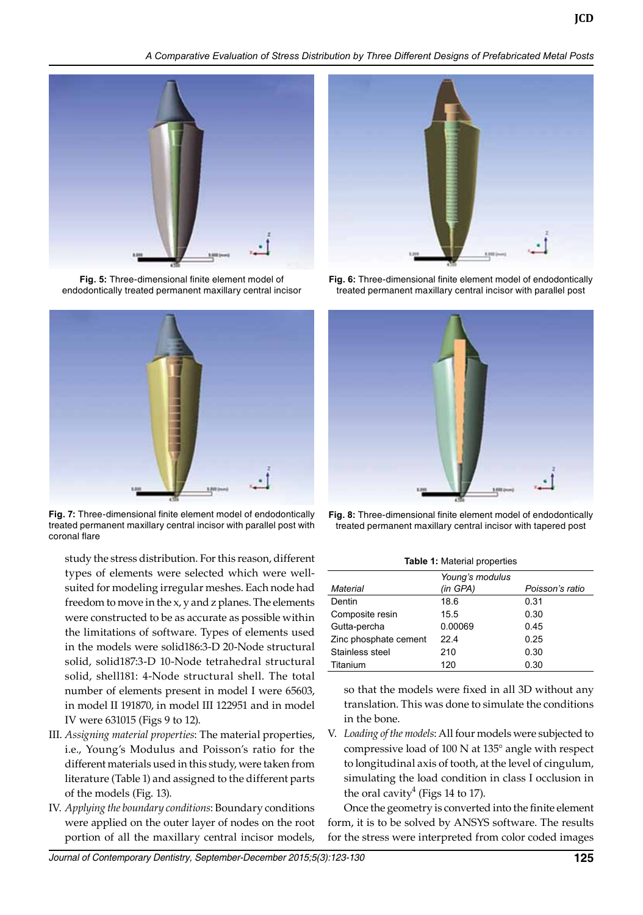*A Comparative Evaluation of Stress Distribution by Three Different Designs of Prefabricated Metal Posts*



**Fig. 5:** Three-dimensional finite element model of endodontically treated permanent maxillary central incisor



**Fig. 7:** Three-dimensional finite element model of endodontically treated permanent maxillary central incisor with parallel post with coronal flare

study the stress distribution. For this reason, different types of elements were selected which were wellsuited for modeling irregular meshes. Each node had freedom to move in the x, y and z planes. The elements were constructed to be as accurate as possible within the limitations of software. Types of elements used in the models were solid186:3-D 20-Node structural solid, solid187:3-D 10-Node tetrahedral structural solid, shell181: 4-Node structural shell. The total number of elements present in model I were 65603, in model II 191870, in model III 122951 and in model IV were 631015 (Figs 9 to 12).

- III. *Assigning material properties*: The material properties, i.e., Young's Modulus and Poisson's ratio for the different materials used in this study, were taken from literature (Table 1) and assigned to the different parts of the models (Fig. 13).
- IV. *Applying the boundary conditions*: Boundary conditions were applied on the outer layer of nodes on the root portion of all the maxillary central incisor models,



**Fig. 6:** Three-dimensional finite element model of endodontically treated permanent maxillary central incisor with parallel post



**Fig. 8:** Three-dimensional finite element model of endodontically treated permanent maxillary central incisor with tapered post

**Table 1:** Material properties

| Material              | Young's modulus<br>(in GPA) |      |
|-----------------------|-----------------------------|------|
| Dentin                | 18.6                        | 0.31 |
| Composite resin       | 15.5                        | 0.30 |
| Gutta-percha          | 0.00069                     | 0.45 |
| Zinc phosphate cement | 224                         | 0.25 |
| Stainless steel       | 210                         | 0.30 |
| Titanium              | 120                         | 0.30 |

so that the models were fixed in all 3D without any translation. This was done to simulate the conditions in the bone.

V. *Loading of the models*: All four models were subjected to compressive load of 100 N at 135° angle with respect to longitudinal axis of tooth, at the level of cingulum, simulating the load condition in class I occlusion in the oral cavity<sup>4</sup> (Figs 14 to 17).

Once the geometry is converted into the finite element form, it is to be solved by ANSYS software. The results for the stress were interpreted from color coded images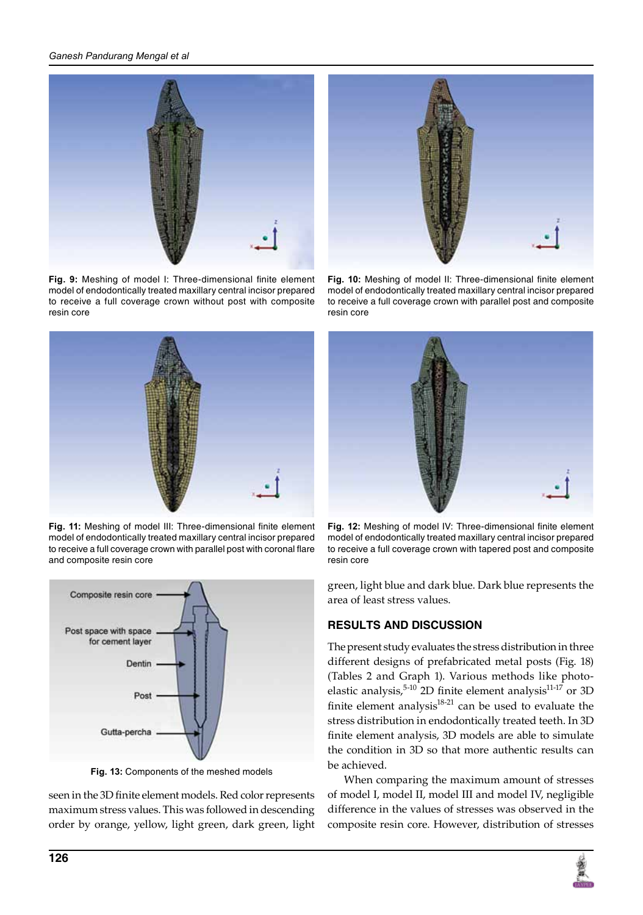## *Ganesh Pandurang Mengal et al*



**Fig. 9:** Meshing of model I: Three-dimensional finite element model of endodontically treated maxillary central incisor prepared to receive a full coverage crown without post with composite resin core



**Fig. 11:** Meshing of model III: Three-dimensional finite element model of endodontically treated maxillary central incisor prepared to receive a full coverage crown with parallel post with coronal flare and composite resin core



**Fig. 13:** Components of the meshed models

seen in the 3D finite element models. Red color represents maximum stress values. This was followed in descending order by orange, yellow, light green, dark green, light



**Fig. 10:** Meshing of model II: Three-dimensional finite element model of endodontically treated maxillary central incisor prepared to receive a full coverage crown with parallel post and composite resin core



**Fig. 12:** Meshing of model IV: Three-dimensional finite element model of endodontically treated maxillary central incisor prepared to receive a full coverage crown with tapered post and composite resin core

green, light blue and dark blue. Dark blue represents the area of least stress values.

# **Results and discussion**

The present study evaluates the stress distribution in three different designs of prefabricated metal posts (Fig. 18) (Tables 2 and Graph 1). Various methods like photoelastic analysis, $5-10$  2D finite element analysis $11-17$  or 3D finite element analysis $18-21$  can be used to evaluate the stress distribution in endodontically treated teeth. In 3D finite element analysis, 3D models are able to simulate the condition in 3D so that more authentic results can be achieved.

When comparing the maximum amount of stresses of model I, model II, model III and model IV, negligible difference in the values of stresses was observed in the composite resin core. However, distribution of stresses

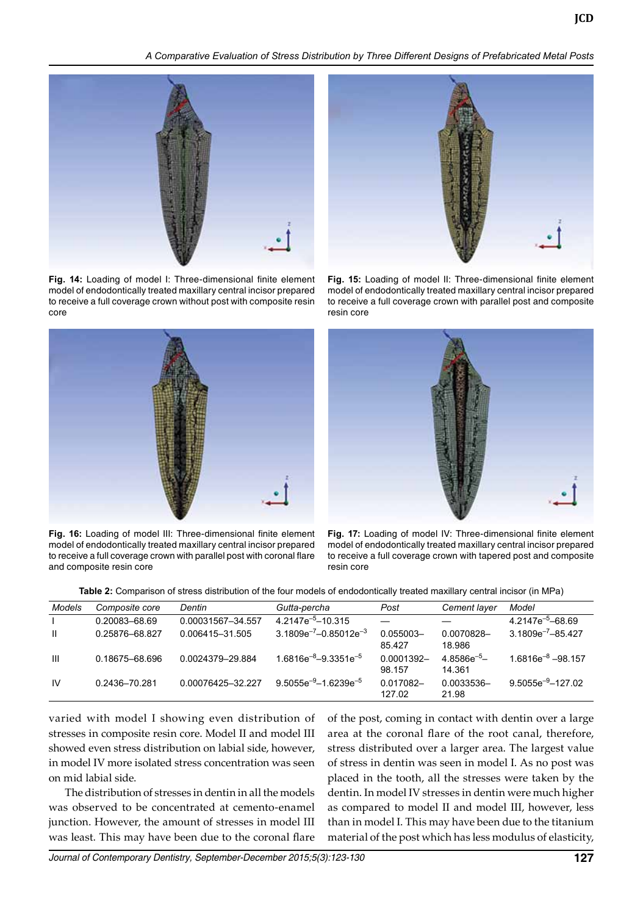*A Comparative Evaluation of Stress Distribution by Three Different Designs of Prefabricated Metal Posts*



**Fig. 14:** Loading of model I: Three-dimensional finite element model of endodontically treated maxillary central incisor prepared to receive a full coverage crown without post with composite resin core



**Fig. 16:** Loading of model III: Three-dimensional finite element model of endodontically treated maxillary central incisor prepared to receive a full coverage crown with parallel post with coronal flare and composite resin core



**Fig. 15:** Loading of model II: Three-dimensional finite element model of endodontically treated maxillary central incisor prepared to receive a full coverage crown with parallel post and composite resin core



**Fig. 17:** Loading of model IV: Three-dimensional finite element model of endodontically treated maxillary central incisor prepared to receive a full coverage crown with tapered post and composite resin core

**Table 2:** Comparison of stress distribution of the four models of endodontically treated maxillary central incisor (in MPa)

| Models       | Composite core | Dentin            | Gutta-percha                   | Post                 | Cement layer               | Model                   |
|--------------|----------------|-------------------|--------------------------------|----------------------|----------------------------|-------------------------|
|              | 0.20083-68.69  | 0.00031567-34.557 | $4.2147e^{-5} - 10.315$        |                      |                            | $4.2147e^{-5} - 68.69$  |
| $\mathbf{H}$ | 0.25876-68.827 | 0.006415-31.505   | $3.1809e^{-7} - 0.85012e^{-3}$ | 0.055003-<br>85.427  | 0.0070828-<br>18.986       | $3.1809e^{-7} - 85.427$ |
| Ш            | 0.18675-68.696 | 0.0024379-29.884  | $1.6816e^{-8} - 9.3351e^{-5}$  | 0.0001392-<br>98.157 | $4.8586e^{-5}$ -<br>14.361 | $1.6816e^{-8} - 98.157$ |
| <b>IV</b>    | 0.2436-70.281  | 0.00076425-32.227 | $9.5055e^{-9} - 1.6239e^{-5}$  | 0.017082-<br>127.02  | 0.0033536-<br>21.98        | $9.5055e^{-9} - 127.02$ |

varied with model I showing even distribution of stresses in composite resin core. Model II and model III showed even stress distribution on labial side, however, in model IV more isolated stress concentration was seen on mid labial side.

The distribution of stresses in dentin in all the models was observed to be concentrated at cemento-enamel junction. However, the amount of stresses in model III was least. This may have been due to the coronal flare of the post, coming in contact with dentin over a large area at the coronal flare of the root canal, therefore, stress distributed over a larger area. The largest value of stress in dentin was seen in model I. As no post was placed in the tooth, all the stresses were taken by the dentin. In model IV stresses in dentin were much higher as compared to model II and model III, however, less than in model I. This may have been due to the titanium material of the post which has less modulus of elasticity,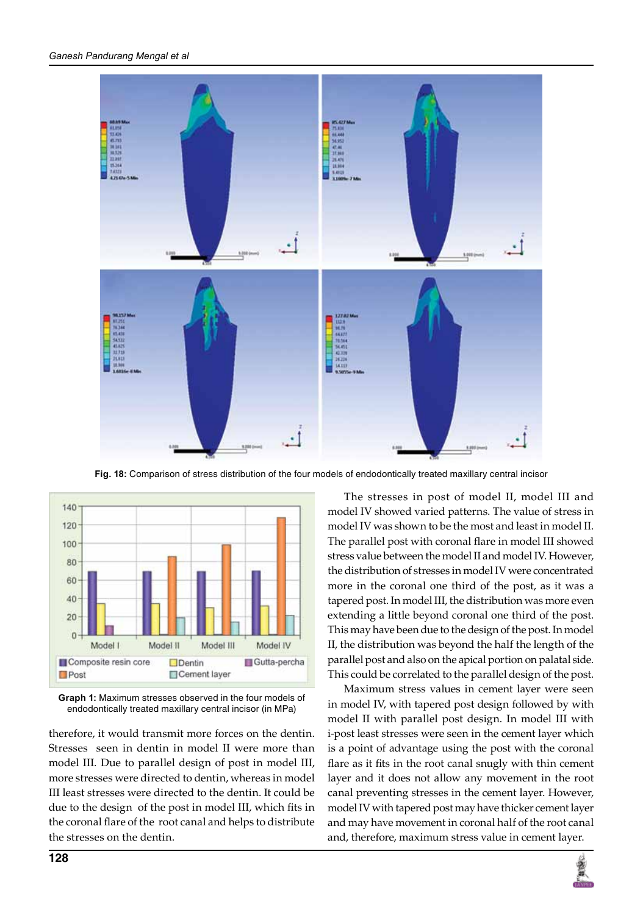

**Fig. 18:** Comparison of stress distribution of the four models of endodontically treated maxillary central incisor



**Graph 1:** Maximum stresses observed in the four models of endodontically treated maxillary central incisor (in MPa)

therefore, it would transmit more forces on the dentin. Stresses seen in dentin in model II were more than model III. Due to parallel design of post in model III, more stresses were directed to dentin, whereas in model III least stresses were directed to the dentin. It could be due to the design of the post in model III, which fits in the coronal flare of the root canal and helps to distribute the stresses on the dentin.

The stresses in post of model II, model III and model IV showed varied patterns. The value of stress in model IV was shown to be the most and least in model II. The parallel post with coronal flare in model III showed stress value between the model II and model IV. However, the distribution of stresses in model IV were concentrated more in the coronal one third of the post, as it was a tapered post. In model III, the distribution was more even extending a little beyond coronal one third of the post. This may have been due to the design of the post. In model II, the distribution was beyond the half the length of the parallel post and also on the apical portion on palatal side. This could be correlated to the parallel design of the post.

Maximum stress values in cement layer were seen in model IV, with tapered post design followed by with model II with parallel post design. In model III with i-post least stresses were seen in the cement layer which is a point of advantage using the post with the coronal flare as it fits in the root canal snugly with thin cement layer and it does not allow any movement in the root canal preventing stresses in the cement layer. However, model IV with tapered post may have thicker cement layer and may have movement in coronal half of the root canal and, therefore, maximum stress value in cement layer.

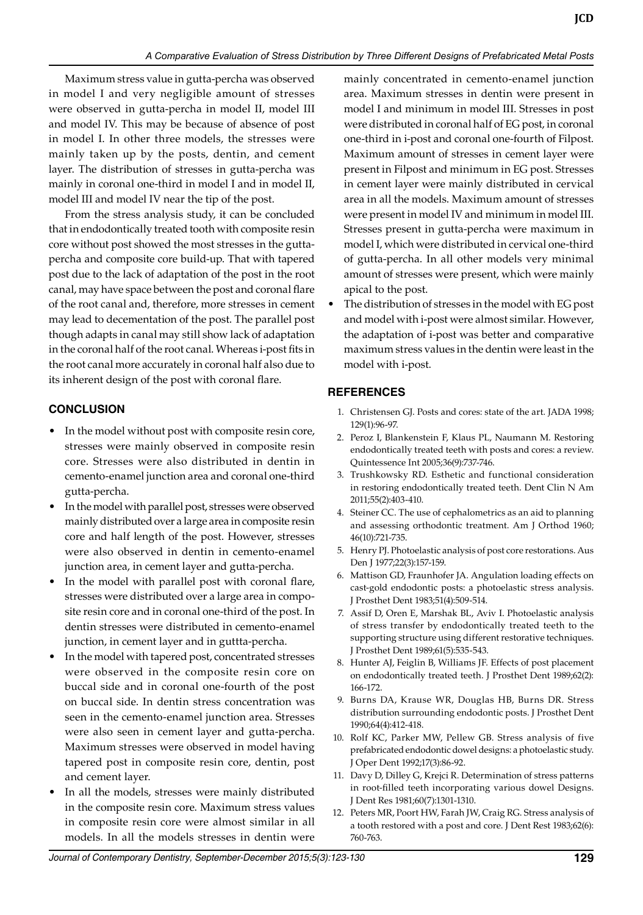Maximum stress value in gutta-percha was observed in model I and very negligible amount of stresses were observed in gutta-percha in model II, model III and model IV. This may be because of absence of post in model I. In other three models, the stresses were mainly taken up by the posts, dentin, and cement layer. The distribution of stresses in gutta-percha was mainly in coronal one-third in model I and in model II, model III and model IV near the tip of the post.

From the stress analysis study, it can be concluded that in endodontically treated tooth with composite resin core without post showed the most stresses in the guttapercha and composite core build-up. That with tapered post due to the lack of adaptation of the post in the root canal, may have space between the post and coronal flare of the root canal and, therefore, more stresses in cement may lead to decementation of the post. The parallel post though adapts in canal may still show lack of adaptation in the coronal half of the root canal. Whereas i-post fits in the root canal more accurately in coronal half also due to its inherent design of the post with coronal flare.

# **Conclusion**

- In the model without post with composite resin core, stresses were mainly observed in composite resin core. Stresses were also distributed in dentin in cemento-enamel junction area and coronal one-third gutta-percha.
- In the model with parallel post, stresses were observed mainly distributed over a large area in composite resin core and half length of the post. However, stresses were also observed in dentin in cemento-enamel junction area, in cement layer and gutta-percha.
- In the model with parallel post with coronal flare, stresses were distributed over a large area in composite resin core and in coronal one-third of the post. In dentin stresses were distributed in cemento-enamel junction, in cement layer and in guttta-percha.
- In the model with tapered post, concentrated stresses were observed in the composite resin core on buccal side and in coronal one-fourth of the post on buccal side. In dentin stress concentration was seen in the cemento-enamel junction area. Stresses were also seen in cement layer and gutta-percha. Maximum stresses were observed in model having tapered post in composite resin core, dentin, post and cement layer.
- In all the models, stresses were mainly distributed in the composite resin core. Maximum stress values in composite resin core were almost similar in all models. In all the models stresses in dentin were

mainly concentrated in cemento-enamel junction area. Maximum stresses in dentin were present in model I and minimum in model III. Stresses in post were distributed in coronal half of EG post, in coronal one-third in i-post and coronal one-fourth of Filpost. Maximum amount of stresses in cement layer were present in Filpost and minimum in EG post. Stresses in cement layer were mainly distributed in cervical area in all the models. Maximum amount of stresses were present in model IV and minimum in model III. Stresses present in gutta-percha were maximum in model I, which were distributed in cervical one-third of gutta-percha. In all other models very minimal amount of stresses were present, which were mainly apical to the post.

The distribution of stresses in the model with EG post and model with i-post were almost similar. However, the adaptation of i-post was better and comparative maximum stress values in the dentin were least in the model with i-post.

# **References**

- 1. Christensen GJ. Posts and cores: state of the art. JADA 1998; 129(1):96-97.
- 2. Peroz I, Blankenstein F, Klaus PL, Naumann M. Restoring endodontically treated teeth with posts and cores: a review. Quintessence Int 2005;36(9):737-746.
- 3. Trushkowsky RD. Esthetic and functional consideration in restoring endodontically treated teeth. Dent Clin N Am 2011;55(2):403-410.
- 4. Steiner CC. The use of cephalometrics as an aid to planning and assessing orthodontic treatment. Am J Orthod 1960; 46(10):721-735.
- 5. Henry PJ. Photoelastic analysis of post core restorations. Aus Den J 1977;22(3):157-159.
- 6. Mattison GD, Fraunhofer JA. Angulation loading effects on cast-gold endodontic posts: a photoelastic stress analysis. J Prosthet Dent 1983;51(4):509-514.
- 7. Assif D, Oren E, Marshak BL, Aviv I. Photoelastic analysis of stress transfer by endodontically treated teeth to the supporting structure using different restorative techniques. J Prosthet Dent 1989;61(5):535-543.
- 8. Hunter AJ, Feiglin B, Williams JF. Effects of post placement on endodontically treated teeth. J Prosthet Dent 1989;62(2): 166-172.
- 9. Burns DA, Krause WR, Douglas HB, Burns DR. Stress distribution surrounding endodontic posts. J Prosthet Dent 1990;64(4):412-418.
- 10. Rolf KC, Parker MW, Pellew GB. Stress analysis of five prefabricated endodontic dowel designs: a photoelastic study. J Oper Dent 1992;17(3):86-92.
- 11. Davy D, Dilley G, Krejci R. Determination of stress patterns in root-filled teeth incorporating various dowel Designs. J Dent Res 1981;60(7):1301-1310.
- 12. Peters MR, Poort HW, Farah JW, Craig RG. Stress analysis of a tooth restored with a post and core. J Dent Rest 1983;62(6): 760-763.